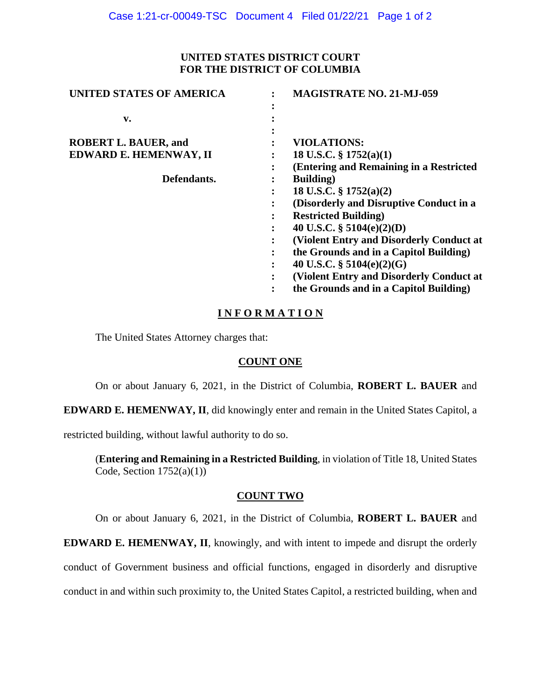### **UNITED STATES DISTRICT COURT FOR THE DISTRICT OF COLUMBIA**

| <b>UNITED STATES OF AMERICA</b> |   | <b>MAGISTRATE NO. 21-MJ-059</b>          |
|---------------------------------|---|------------------------------------------|
|                                 |   |                                          |
| v.                              |   |                                          |
|                                 |   |                                          |
| <b>ROBERT L. BAUER, and</b>     |   | <b>VIOLATIONS:</b>                       |
| EDWARD E. HEMENWAY, II          |   | 18 U.S.C. $\S$ 1752(a)(1)                |
|                                 | ٠ | (Entering and Remaining in a Restricted  |
| Defendants.                     |   | <b>Building</b> )                        |
|                                 |   | 18 U.S.C. $\S 1752(a)(2)$                |
|                                 |   | (Disorderly and Disruptive Conduct in a  |
|                                 |   | <b>Restricted Building</b> )             |
|                                 | ٠ | 40 U.S.C. $\S$ 5104(e)(2)(D)             |
|                                 |   | (Violent Entry and Disorderly Conduct at |
|                                 |   | the Grounds and in a Capitol Building)   |
|                                 | ٠ | 40 U.S.C. $\S$ 5104(e)(2)(G)             |
|                                 |   | (Violent Entry and Disorderly Conduct at |
|                                 |   | the Grounds and in a Capitol Building)   |
|                                 |   |                                          |

# **I N F O R M A T I O N**

The United States Attorney charges that:

#### **COUNT ONE**

On or about January 6, 2021, in the District of Columbia, **ROBERT L. BAUER** and

**EDWARD E. HEMENWAY, II**, did knowingly enter and remain in the United States Capitol, a

restricted building, without lawful authority to do so.

(**Entering and Remaining in a Restricted Building**, in violation of Title 18, United States Code, Section  $1752(a)(1)$ )

# **COUNT TWO**

On or about January 6, 2021, in the District of Columbia, **ROBERT L. BAUER** and

**EDWARD E. HEMENWAY, II**, knowingly, and with intent to impede and disrupt the orderly

conduct of Government business and official functions, engaged in disorderly and disruptive

conduct in and within such proximity to, the United States Capitol, a restricted building, when and